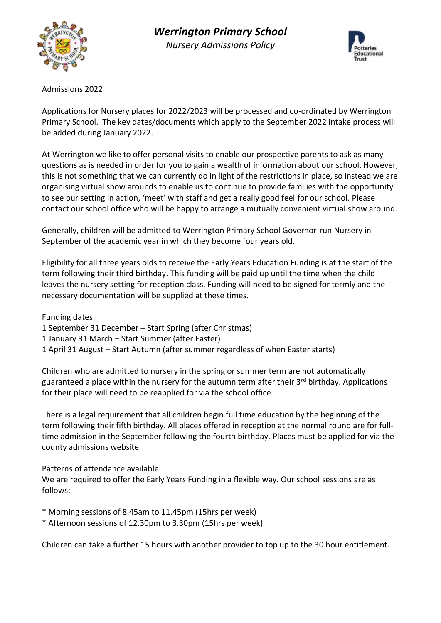



Admissions 2022

Applications for Nursery places for 2022/2023 will be processed and co-ordinated by Werrington Primary School. The key dates/documents which apply to the September 2022 intake process will be added during January 2022.

At Werrington we like to offer personal visits to enable our prospective parents to ask as many questions as is needed in order for you to gain a wealth of information about our school. However, this is not something that we can currently do in light of the restrictions in place, so instead we are organising virtual show arounds to enable us to continue to provide families with the opportunity to see our setting in action, 'meet' with staff and get a really good feel for our school. Please contact our school office who will be happy to arrange a mutually convenient virtual show around.

Generally, children will be admitted to Werrington Primary School Governor-run Nursery in September of the academic year in which they become four years old.

Eligibility for all three years olds to receive the Early Years Education Funding is at the start of the term following their third birthday. This funding will be paid up until the time when the child leaves the nursery setting for reception class. Funding will need to be signed for termly and the necessary documentation will be supplied at these times.

Funding dates:

- 1 September 31 December Start Spring (after Christmas)
- 1 January 31 March Start Summer (after Easter)
- 1 April 31 August Start Autumn (after summer regardless of when Easter starts)

Children who are admitted to nursery in the spring or summer term are not automatically guaranteed a place within the nursery for the autumn term after their 3<sup>rd</sup> birthday. Applications for their place will need to be reapplied for via the school office.

There is a legal requirement that all children begin full time education by the beginning of the term following their fifth birthday. All places offered in reception at the normal round are for fulltime admission in the September following the fourth birthday. Places must be applied for via the county admissions website.

## Patterns of attendance available

We are required to offer the Early Years Funding in a flexible way. Our school sessions are as follows:

- \* Morning sessions of 8.45am to 11.45pm (15hrs per week)
- \* Afternoon sessions of 12.30pm to 3.30pm (15hrs per week)

Children can take a further 15 hours with another provider to top up to the 30 hour entitlement.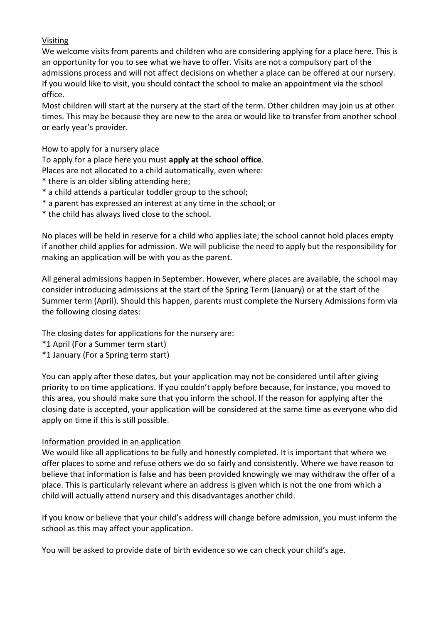## Visiting

We welcome visits from parents and children who are considering applying for a place here. This is an opportunity for you to see what we have to offer. Visits are not a compulsory part of the admissions process and will not affect decisions on whether a place can be offered at our nursery. If you would like to visit, you should contact the school to make an appointment via the school office.

Most children will start at the nursery at the start of the term. Other children may join us at other times. This may be because they are new to the area or would like to transfer from another school or early year's provider.

## How to apply for a nursery place

To apply for a place here you must **apply at the school office**.

Places are not allocated to a child automatically, even where:

- \* there is an older sibling attending here;
- \* a child attends a particular toddler group to the school;
- \* a parent has expressed an interest at any time in the school; or
- \* the child has always lived close to the school.

No places will be held in reserve for a child who applies late; the school cannot hold places empty if another child applies for admission. We will publicise the need to apply but the responsibility for making an application will be with you as the parent.

All general admissions happen in September. However, where places are available, the school may consider introducing admissions at the start of the Spring Term (January) or at the start of the Summer term (April). Should this happen, parents must complete the Nursery Admissions form via the following closing dates:

The closing dates for applications for the nursery are:

- \*1 April (For a Summer term start)
- \*1 January (For a Spring term start)

You can apply after these dates, but your application may not be considered until after giving priority to on time applications. If you couldn't apply before because, for instance, you moved to this area, you should make sure that you inform the school. If the reason for applying after the closing date is accepted, your application will be considered at the same time as everyone who did apply on time if this is still possible.

## Information provided in an application

We would like all applications to be fully and honestly completed. It is important that where we offer places to some and refuse others we do so fairly and consistently. Where we have reason to believe that information is false and has been provided knowingly we may withdraw the offer of a place. This is particularly relevant where an address is given which is not the one from which a child will actually attend nursery and this disadvantages another child.

If you know or believe that your child's address will change before admission, you must inform the school as this may affect your application.

You will be asked to provide date of birth evidence so we can check your child's age.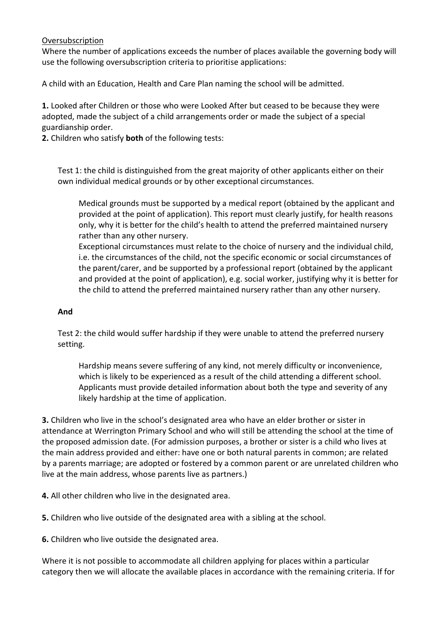#### **Oversubscription**

Where the number of applications exceeds the number of places available the governing body will use the following oversubscription criteria to prioritise applications:

A child with an Education, Health and Care Plan naming the school will be admitted.

**1.** Looked after Children or those who were Looked After but ceased to be because they were adopted, made the subject of a child arrangements order or made the subject of a special guardianship order.

**2.** Children who satisfy **both** of the following tests:

Test 1: the child is distinguished from the great majority of other applicants either on their own individual medical grounds or by other exceptional circumstances.

Medical grounds must be supported by a medical report (obtained by the applicant and provided at the point of application). This report must clearly justify, for health reasons only, why it is better for the child's health to attend the preferred maintained nursery rather than any other nursery.

Exceptional circumstances must relate to the choice of nursery and the individual child, i.e. the circumstances of the child, not the specific economic or social circumstances of the parent/carer, and be supported by a professional report (obtained by the applicant and provided at the point of application), e.g. social worker, justifying why it is better for the child to attend the preferred maintained nursery rather than any other nursery.

#### **And**

Test 2: the child would suffer hardship if they were unable to attend the preferred nursery setting.

Hardship means severe suffering of any kind, not merely difficulty or inconvenience, which is likely to be experienced as a result of the child attending a different school. Applicants must provide detailed information about both the type and severity of any likely hardship at the time of application.

**3.** Children who live in the school's designated area who have an elder brother or sister in attendance at Werrington Primary School and who will still be attending the school at the time of the proposed admission date. (For admission purposes, a brother or sister is a child who lives at the main address provided and either: have one or both natural parents in common; are related by a parents marriage; are adopted or fostered by a common parent or are unrelated children who live at the main address, whose parents live as partners.)

**4.** All other children who live in the designated area.

**5.** Children who live outside of the designated area with a sibling at the school.

**6.** Children who live outside the designated area.

Where it is not possible to accommodate all children applying for places within a particular category then we will allocate the available places in accordance with the remaining criteria. If for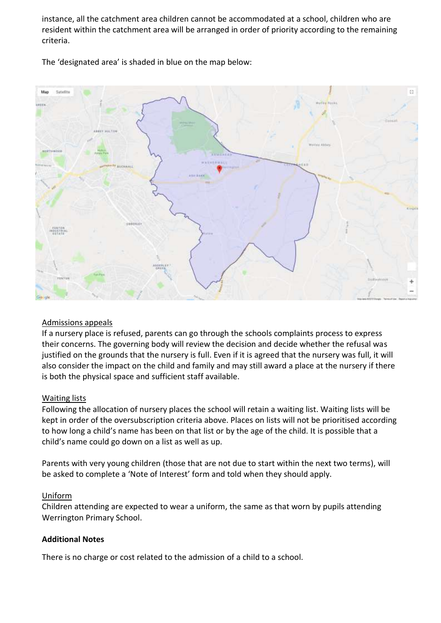instance, all the catchment area children cannot be accommodated at a school, children who are resident within the catchment area will be arranged in order of priority according to the remaining criteria.



The 'designated area' is shaded in blue on the map below:

## Admissions appeals

If a nursery place is refused, parents can go through the schools complaints process to express their concerns. The governing body will review the decision and decide whether the refusal was justified on the grounds that the nursery is full. Even if it is agreed that the nursery was full, it will also consider the impact on the child and family and may still award a place at the nursery if there is both the physical space and sufficient staff available.

## Waiting lists

Following the allocation of nursery places the school will retain a waiting list. Waiting lists will be kept in order of the oversubscription criteria above. Places on lists will not be prioritised according to how long a child's name has been on that list or by the age of the child. It is possible that a child's name could go down on a list as well as up.

Parents with very young children (those that are not due to start within the next two terms), will be asked to complete a 'Note of Interest' form and told when they should apply.

## Uniform

Children attending are expected to wear a uniform, the same as that worn by pupils attending Werrington Primary School.

# **Additional Notes**

There is no charge or cost related to the admission of a child to a school.